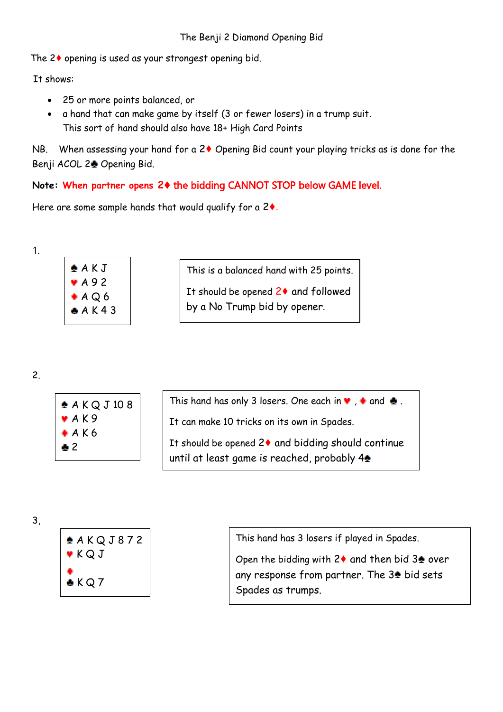The 2♦ opening is used as your strongest opening bid.

It shows:

- 25 or more points balanced, or
- a hand that can make game by itself (3 or fewer losers) in a trump suit. This sort of hand should also have 18+ High Card Points

NB. When assessing your hand for a 2♦ Opening Bid count your playing tricks as is done for the Benji ACOL 2<sup>2</sup> Opening Bid.

# **Note: When partner opens 2**♦ the bidding CANNOT STOP below GAME level.

Here are some sample hands that would qualify for a 2♦.



$$
\overline{\mathbf{2}}.
$$



| This hand has only 3 losers. One each in $\bullet$ , $\bullet$ and $\bullet$ . |  |  |
|--------------------------------------------------------------------------------|--|--|
|                                                                                |  |  |

It can make 10 tricks on its own in Spades.

It should be opened 2♦ and bidding should continue until at least game is reached, probably  $4\spadesuit$ 

3,



This hand has 3 losers if played in Spades.

Open the bidding with  $2\blacklozenge$  and then bid  $3\blacktriangle$  over any response from partner. The  $3\triangleq$  bid sets Spades as trumps.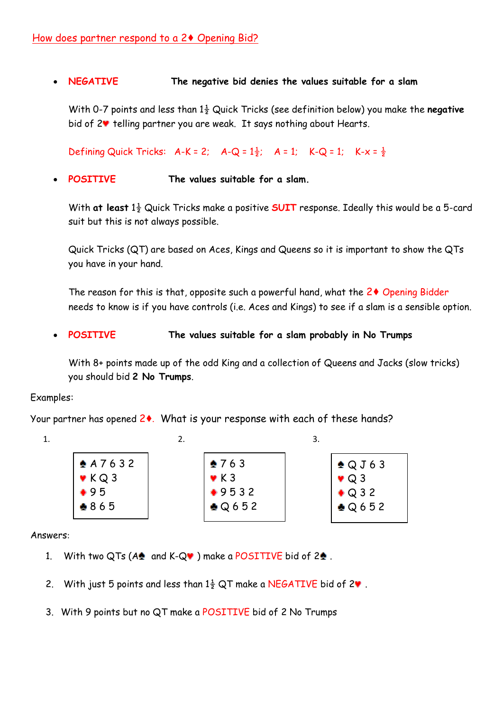# • **NEGATIVE The negative bid denies the values suitable for a slam**

With 0-7 points and less than 1½ Quick Tricks (see definition below) you make the **negative** bid of  $2\blacktriangledown$  telling partner you are weak. It says nothing about Hearts.

Defining Quick Tricks:  $A-K = 2$ ;  $A-Q = 1\frac{1}{2}$ ;  $A = 1$ ;  $K-Q = 1$ ;  $K-X = \frac{1}{2}$ 

#### • **POSITIVE The values suitable for a slam.**

With **at least** 1½ Quick Tricks make a positive **SUIT** response. Ideally this would be a 5-card suit but this is not always possible.

Quick Tricks (QT) are based on Aces, Kings and Queens so it is important to show the QTs you have in your hand.

The reason for this is that, opposite such a powerful hand, what the 2♦ Opening Bidder needs to know is if you have controls (i.e. Aces and Kings) to see if a slam is a sensible option.

• **POSITIVE The values suitable for a slam probably in No Trumps**

With 8+ points made up of the odd King and a collection of Queens and Jacks (slow tricks) you should bid **2 No Trumps**.

#### Examples:

Your partner has opened 2♦. What is your response with each of these hands?

| 1. |                            |                          |                    |
|----|----------------------------|--------------------------|--------------------|
|    | $* A 7 6 3 2$              | $*763$                   | $\triangle$ QJ63   |
|    | $\blacktriangleright$ KQ 3 | $\blacktriangledown$ K 3 | $\bullet$ Q 3      |
|    | $+95$                      | $+9532$                  | $\bigstar$ Q 3 2   |
|    | $*865$                     | $\bigcirc$ Q 6 5 2       | $\bigcirc$ Q 6 5 2 |
|    |                            |                          |                    |

Answers:

- 1. With two QTs ( $A \triangleq$  and K-Q $\blacktriangledown$ ) make a POSITIVE bid of 2 $\triangleq$ .
- 2. With just 5 points and less than  $1\frac{1}{2}$  QT make a NEGATIVE bid of 2 $\bullet$ .
- 3. With 9 points but no QT make a POSITIVE bid of 2 No Trumps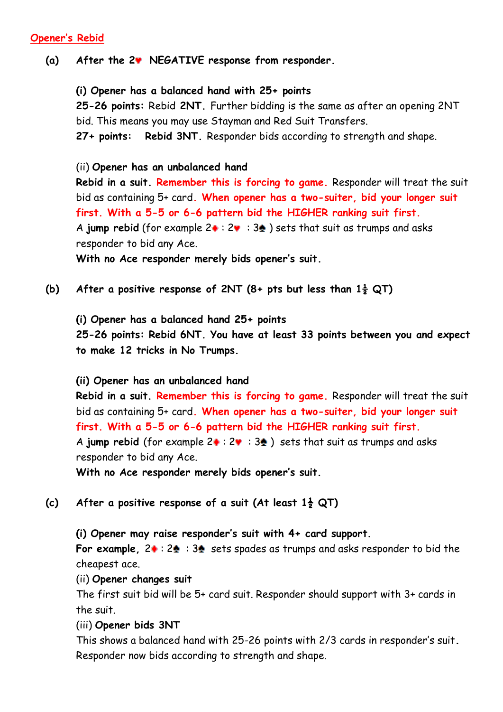# **Opener's Rebid**

# **(a) After the 2 NEGATIVE response from responder.**

# **(i) Opener has a balanced hand with 25+ points**

**25-26 points:** Rebid **2NT.** Further bidding is the same as after an opening 2NT bid. This means you may use Stayman and Red Suit Transfers.

**27+ points: Rebid 3NT.** Responder bids according to strength and shape.

# (ii) **Opener has an unbalanced hand**

**Rebid in a suit. Remember this is forcing to game.** Responder will treat the suit bid as containing 5+ card**. When opener has a two-suiter, bid your longer suit first. With a 5-5 or 6-6 pattern bid the HIGHER ranking suit first.** A **jump rebid** (for example  $2 \cdot 2 \cdot 3 \cdot 3$ ) sets that suit as trumps and asks responder to bid any Ace.

**With no Ace responder merely bids opener's suit.**

**(b) After a positive response of 2NT (8+ pts but less than 1½ QT)**

**(i) Opener has a balanced hand 25+ points**

**25-26 points: Rebid 6NT. You have at least 33 points between you and expect to make 12 tricks in No Trumps.**

#### **(ii) Opener has an unbalanced hand**

**Rebid in a suit. Remember this is forcing to game.** Responder will treat the suit bid as containing 5+ card**. When opener has a two-suiter, bid your longer suit first. With a 5-5 or 6-6 pattern bid the HIGHER ranking suit first.** A jump rebid (for example  $2 \cdot : 2 \cdot : 3 \cdot 3$ ) sets that suit as trumps and asks responder to bid any Ace.

**With no Ace responder merely bids opener's suit.**

**(c) After a positive response of a suit (At least 1½ QT)**

**(i) Opener may raise responder's suit with 4+ card support.**

**For example, 20: 24: 34 sets spades as trumps and asks responder to bid the** cheapest ace.

(ii) **Opener changes suit**

The first suit bid will be 5+ card suit. Responder should support with 3+ cards in the suit.

#### (iii) **Opener bids 3NT**

This shows a balanced hand with 25-26 points with 2/3 cards in responder's suit**.**  Responder now bids according to strength and shape.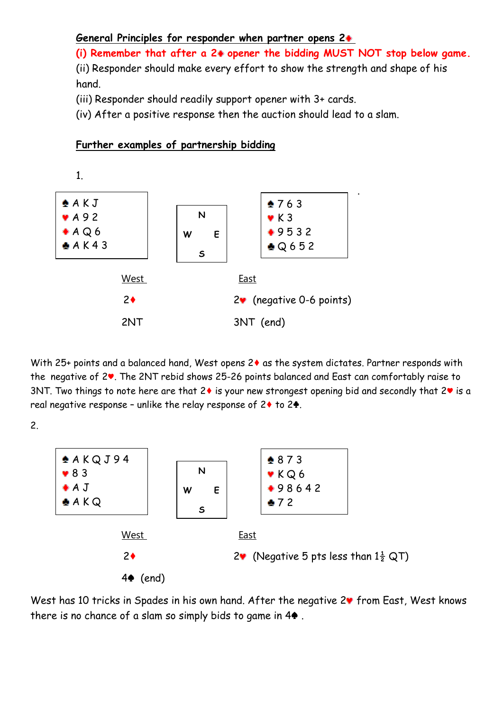#### **General Principles for responder when partner opens 2**

**(i) Remember that after a 2 opener the bidding MUST NOT stop below game.**

(ii) Responder should make every effort to show the strength and shape of his hand.

(iii) Responder should readily support opener with 3+ cards.

**Further examples of partnership bidding**

(iv) After a positive response then the auction should lead to a slam.



With 25+ points and a balanced hand, West opens 2 $\bullet$  as the system dictates. Partner responds with the negative of 2♥. The 2NT rebid shows 25-26 points balanced and East can comfortably raise to 3NT. Two things to note here are that 2♦ is your new strongest opening bid and secondly that 2♥ is a real negative response – unlike the relay response of 2♦ to 2♣.

2.



West has 10 tricks in Spades in his own hand. After the negative 2<sup>v</sup> from East, West knows there is no chance of a slam so simply bids to game in 4♠ .